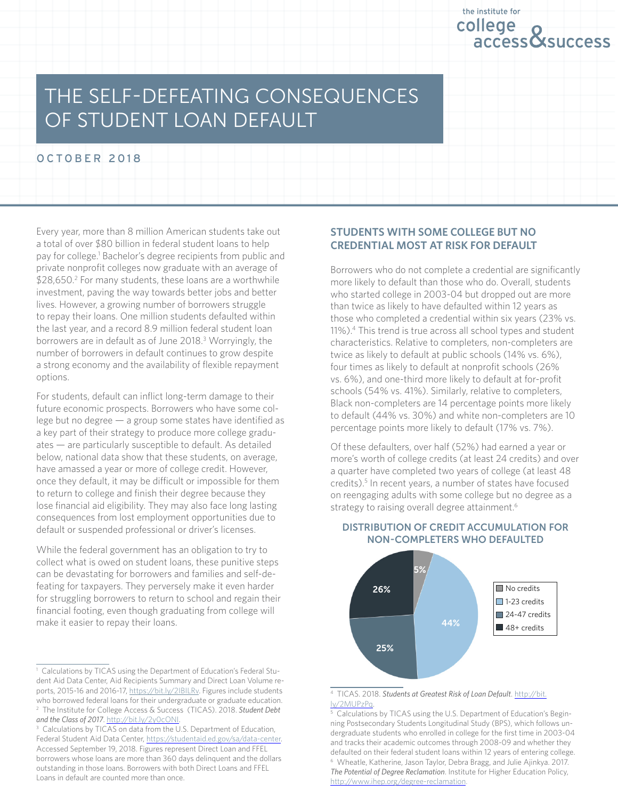

# The Self-Defeating Consequences of Student Loan Default

OCTOBER 2018

Every year, more than 8 million American students take out a total of over \$80 billion in federal student loans to help pay for college.<sup>1</sup> Bachelor's degree recipients from public and private nonprofit colleges now graduate with an average of \$28,650.<sup>2</sup> For many students, these loans are a worthwhile investment, paving the way towards better jobs and better lives. However, a growing number of borrowers struggle to repay their loans. One million students defaulted within the last year, and a record 8.9 million federal student loan borrowers are in default as of June 2018.<sup>3</sup> Worryingly, the number of borrowers in default continues to grow despite a strong economy and the availability of flexible repayment options.

For students, default can inflict long-term damage to their future economic prospects. Borrowers who have some college but no degree — a group some states have identified as a key part of their strategy to produce more college graduates — are particularly susceptible to default. As detailed below, national data show that these students, on average, have amassed a year or more of college credit. However, once they default, it may be difficult or impossible for them to return to college and finish their degree because they lose financial aid eligibility. They may also face long lasting consequences from lost employment opportunities due to default or suspended professional or driver's licenses.

While the federal government has an obligation to try to collect what is owed on student loans, these punitive steps can be devastating for borrowers and families and self-defeating for taxpayers. They perversely make it even harder for struggling borrowers to return to school and regain their financial footing, even though graduating from college will make it easier to repay their loans.

### **Students with Some College but No Credential Most at Risk for Default**

Borrowers who do not complete a credential are significantly more likely to default than those who do. Overall, students who started college in 2003-04 but dropped out are more than twice as likely to have defaulted within 12 years as those who completed a credential within six years (23% vs. 11%).4 This trend is true across all school types and student characteristics. Relative to completers, non-completers are twice as likely to default at public schools (14% vs. 6%), four times as likely to default at nonprofit schools (26% vs. 6%), and one-third more likely to default at for-profit schools (54% vs. 41%). Similarly, relative to completers, Black non-completers are 14 percentage points more likely to default (44% vs. 30%) and white non-completers are 10 percentage points more likely to default (17% vs. 7%).

Of these defaulters, over half (52%) had earned a year or more's worth of college credits (at least 24 credits) and over a quarter have completed two years of college (at least 48 credits).<sup>5</sup> In recent years, a number of states have focused on reengaging adults with some college but no degree as a strategy to raising overall degree attainment.<sup>6</sup>



#### Distribution of credit accumulation for non-completers who defaulted

<sup>&</sup>lt;sup>1</sup> Calculations by TICAS using the Department of Education's Federal Student Aid Data Center, Aid Recipients Summary and Direct Loan Volume reports, 2015-16 and 2016-17, https://bit.ly/2IBILRv. Figures include students who borrowed federal loans for their undergraduate or graduate education. 2 The Institute for College Access & Success (TICAS). 2018. *Student Debt*  and the Class of 2017. <http://bit.ly/2y0cONI>

<sup>&</sup>lt;sup>3</sup> Calculations by TICAS on data from the U.S. Department of Education, Federal Student Aid Data Center,<https://studentaid.ed.gov/sa/data-center>. Accessed September 19, 2018. Figures represent Direct Loan and FFEL borrowers whose loans are more than 360 days delinquent and the dollars outstanding in those loans. Borrowers with both Direct Loans and FFEL Loans in default are counted more than once.

<sup>4</sup> TICAS. 2018. *Students at Greatest Risk of Loan Default*. [http://bit.](http://bit.ly/2MUPzPq) [ly/2MUPzPq.](http://bit.ly/2MUPzPq)

<sup>&</sup>lt;sup>5</sup> Calculations by TICAS using the U.S. Department of Education's Beginning Postsecondary Students Longitudinal Study (BPS), which follows undergraduate students who enrolled in college for the first time in 2003-04 and tracks their academic outcomes through 2008-09 and whether they defaulted on their federal student loans within 12 years of entering college. 6 Wheatle, Katherine, Jason Taylor, Debra Bragg, and Julie Ajinkya. 2017. *The Potential of Degree Reclamation*. Institute for Higher Education Policy, [http://www.ihep.org/degree-reclamation.](http://www.ihep.org/degree-reclamation)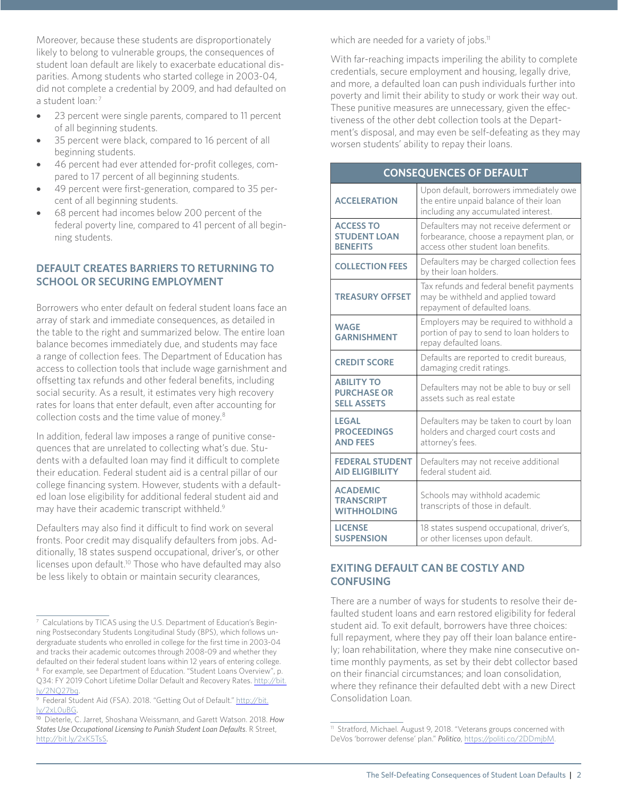Moreover, because these students are disproportionately likely to belong to vulnerable groups, the consequences of student loan default are likely to exacerbate educational disparities. Among students who started college in 2003-04, did not complete a credential by 2009, and had defaulted on a student loan:<sup>7</sup>

- 23 percent were single parents, compared to 11 percent of all beginning students.
- 35 percent were black, compared to 16 percent of all beginning students.
- 46 percent had ever attended for-profit colleges, compared to 17 percent of all beginning students.
- 49 percent were first-generation, compared to 35 percent of all beginning students.
- 68 percent had incomes below 200 percent of the federal poverty line, compared to 41 percent of all beginning students.

### **Default Creates Barriers to Returning to School or Securing Employment**

Borrowers who enter default on federal student loans face an array of stark and immediate consequences, as detailed in the table to the right and summarized below. The entire loan balance becomes immediately due, and students may face a range of collection fees. The Department of Education has access to collection tools that include wage garnishment and offsetting tax refunds and other federal benefits, including social security. As a result, it estimates very high recovery rates for loans that enter default, even after accounting for collection costs and the time value of money.8

In addition, federal law imposes a range of punitive consequences that are unrelated to collecting what's due. Students with a defaulted loan may find it difficult to complete their education. Federal student aid is a central pillar of our college financing system. However, students with a defaulted loan lose eligibility for additional federal student aid and may have their academic transcript withheld.<sup>9</sup>

Defaulters may also find it difficult to find work on several fronts. Poor credit may disqualify defaulters from jobs. Additionally, 18 states suspend occupational, driver's, or other licenses upon default.<sup>10</sup> Those who have defaulted may also be less likely to obtain or maintain security clearances,

which are needed for a variety of jobs.<sup>11</sup>

With far-reaching impacts imperiling the ability to complete credentials, secure employment and housing, legally drive, and more, a defaulted loan can push individuals further into poverty and limit their ability to study or work their way out. These punitive measures are unnecessary, given the effectiveness of the other debt collection tools at the Department's disposal, and may even be self-defeating as they may worsen students' ability to repay their loans.

#### **Consequences of Default**

| <b>ACCELERATION</b>                                           | Upon default, borrowers immediately owe<br>the entire unpaid balance of their loan<br>including any accumulated interest.  |
|---------------------------------------------------------------|----------------------------------------------------------------------------------------------------------------------------|
| <b>ACCESS TO</b><br><b>STUDENT LOAN</b><br><b>BENEFITS</b>    | Defaulters may not receive deferment or<br>forbearance, choose a repayment plan, or<br>access other student loan benefits. |
| <b>COLLECTION FEES</b>                                        | Defaulters may be charged collection fees<br>by their loan holders.                                                        |
| <b>TREASURY OFFSET</b>                                        | Tax refunds and federal benefit payments<br>may be withheld and applied toward<br>repayment of defaulted loans.            |
| <b>WAGE</b><br><b>GARNISHMENT</b>                             | Employers may be required to withhold a<br>portion of pay to send to loan holders to<br>repay defaulted loans.             |
| <b>CREDIT SCORE</b>                                           | Defaults are reported to credit bureaus,<br>damaging credit ratings.                                                       |
| <b>ABILITY TO</b><br><b>PURCHASE OR</b><br><b>SELL ASSETS</b> | Defaulters may not be able to buy or sell<br>assets such as real estate                                                    |
| <b>LEGAL</b><br><b>PROCEEDINGS</b><br><b>AND FEES</b>         | Defaulters may be taken to court by loan<br>holders and charged court costs and<br>attorney's fees.                        |
| <b>FEDERAL STUDENT</b><br><b>AID ELIGIBILITY</b>              | Defaulters may not receive additional<br>federal student aid.                                                              |
| <b>ACADEMIC</b><br><b>TRANSCRIPT</b><br><b>WITHHOLDING</b>    | Schools may withhold academic<br>transcripts of those in default.                                                          |
| <b>LICENSE</b><br><b>SUSPENSION</b>                           | 18 states suspend occupational, driver's,<br>or other licenses upon default.                                               |

### **Exiting Default Can Be Costly and Confusing**

There are a number of ways for students to resolve their defaulted student loans and earn restored eligibility for federal student aid. To exit default, borrowers have three choices: full repayment, where they pay off their loan balance entirely; loan rehabilitation, where they make nine consecutive ontime monthly payments, as set by their debt collector based on their financial circumstances; and loan consolidation, where they refinance their defaulted debt with a new Direct Consolidation Loan.

<sup>&</sup>lt;sup>7</sup> Calculations by TICAS using the U.S. Department of Education's Beginning Postsecondary Students Longitudinal Study (BPS), which follows undergraduate students who enrolled in college for the first time in 2003-04 and tracks their academic outcomes through 2008-09 and whether they defaulted on their federal student loans within 12 years of entering college. 8 For example, see Department of Education. "Student Loans Overview", p. Q34: FY 2019 Cohort Lifetime Dollar Default and Recovery Rates. [http://bit.](http://bit.ly/2NQ27bq) [ly/2NQ27bq.](http://bit.ly/2NQ27bq)

<sup>&</sup>lt;sup>9</sup> Federal Student Aid (FSA). 2018. "Getting Out of Default." [http://bit.](http://bit.ly/2xL0uBG) [ly/2xL0uBG.](http://bit.ly/2xL0uBG) 10 Dieterle, C. Jarret, Shoshana Weissmann, and Garett Watson. 2018. *How* 

*States Use Occupational Licensing to Punish Student Loan Defaults*. R Street, <http://bit.ly/2xK5TsS>.

<sup>11</sup> Stratford, Michael. August 9, 2018. "Veterans groups concerned with DeVos 'borrower defense' plan." *Politico*, <https://politi.co/2DDmjbM>.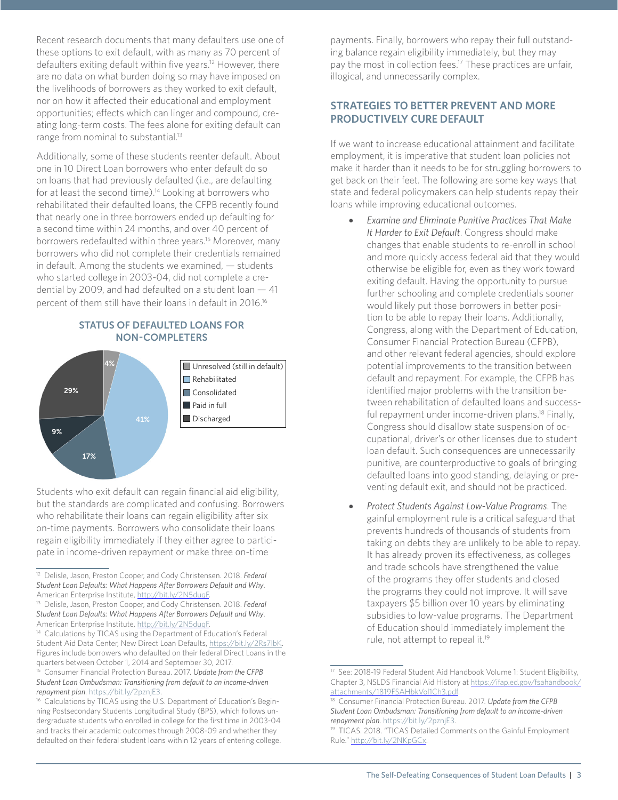Recent research documents that many defaulters use one of these options to exit default, with as many as 70 percent of defaulters exiting default within five years.<sup>12</sup> However, there are no data on what burden doing so may have imposed on the livelihoods of borrowers as they worked to exit default, nor on how it affected their educational and employment opportunities; effects which can linger and compound, creating long-term costs. The fees alone for exiting default can range from nominal to substantial.13

Additionally, some of these students reenter default. About one in 10 Direct Loan borrowers who enter default do so on loans that had previously defaulted (i.e., are defaulting for at least the second time).<sup>14</sup> Looking at borrowers who rehabilitated their defaulted loans, the CFPB recently found that nearly one in three borrowers ended up defaulting for a second time within 24 months, and over 40 percent of borrowers redefaulted within three years.15 Moreover, many borrowers who did not complete their credentials remained in default. Among the students we examined, — students who started college in 2003-04, did not complete a credential by 2009, and had defaulted on a student loan — 41 percent of them still have their loans in default in 2016.16





Students who exit default can regain financial aid eligibility, but the standards are complicated and confusing. Borrowers who rehabilitate their loans can regain eligibility after six on-time payments. Borrowers who consolidate their loans regain eligibility immediately if they either agree to participate in income-driven repayment or make three on-time

payments. Finally, borrowers who repay their full outstanding balance regain eligibility immediately, but they may pay the most in collection fees.<sup>17</sup> These practices are unfair, illogical, and unnecessarily complex.

## **Strategies to Better Prevent and More Productively Cure Default**

If we want to increase educational attainment and facilitate employment, it is imperative that student loan policies not make it harder than it needs to be for struggling borrowers to get back on their feet. The following are some key ways that state and federal policymakers can help students repay their loans while improving educational outcomes.

- **Examine and Eliminate Punitive Practices That Make** *It Harder to Exit Default*. Congress should make changes that enable students to re-enroll in school and more quickly access federal aid that they would otherwise be eligible for, even as they work toward exiting default. Having the opportunity to pursue further schooling and complete credentials sooner would likely put those borrowers in better position to be able to repay their loans. Additionally, Congress, along with the Department of Education, Consumer Financial Protection Bureau (CFPB), and other relevant federal agencies, should explore potential improvements to the transition between default and repayment. For example, the CFPB has identified major problems with the transition between rehabilitation of defaulted loans and successful repayment under income-driven plans.<sup>18</sup> Finally, Congress should disallow state suspension of occupational, driver's or other licenses due to student loan default. Such consequences are unnecessarily punitive, are counterproductive to goals of bringing defaulted loans into good standing, delaying or preventing default exit, and should not be practiced.
- **Protect Students Against Low-Value Programs**. The gainful employment rule is a critical safeguard that prevents hundreds of thousands of students from taking on debts they are unlikely to be able to repay. It has already proven its effectiveness, as colleges and trade schools have strengthened the value of the programs they offer students and closed the programs they could not improve. It will save taxpayers \$5 billion over 10 years by eliminating subsidies to low-value programs. The Department of Education should immediately implement the rule, not attempt to repeal it.19

<sup>12</sup> Delisle, Jason, Preston Cooper, and Cody Christensen. 2018. *Federal Student Loan Defaults: What Happens After Borrowers Default and Why*.

American Enterprise Institute, [http://bit.ly/2N5duqF](http://www.aei.org/wp-content/uploads/2018/08/Federal-Student-Loan-Defaults.pdf). 13 Delisle, Jason, Preston Cooper, and Cody Christensen. 2018. *Federal Student Loan Defaults: What Happens After Borrowers Default and Why*. American Enterprise Institute, [http://bit.ly/2N5duqF](http://www.aei.org/wp-content/uploads/2018/08/Federal-Student-Loan-Defaults.pdf).<br><sup>14</sup> Calculations by TICAS using the Department of Education's Federal

Student Aid Data Center, New Direct Loan Defaults, https://bit.ly/2Rs7lbK. Figures include borrowers who defaulted on their federal Direct Loans in the quarters between October 1, 2014 and September 30, 2017.

<sup>15</sup> Consumer Financial Protection Bureau. 2017. *Update from the CFPB Student Loan Ombudsman: Transitioning from default to an income-driven repayment plan*. https://bit.ly/2pznjE3.

<sup>&</sup>lt;sup>16</sup> Calculations by TICAS using the U.S. Department of Education's Beginning Postsecondary Students Longitudinal Study (BPS), which follows undergraduate students who enrolled in college for the first time in 2003-04 and tracks their academic outcomes through 2008-09 and whether they defaulted on their federal student loans within 12 years of entering college.

<sup>17</sup> See: 2018-19 Federal Student Aid Handbook Volume 1: Student Eligibility, Chapter 3, NSLDS Financial Aid History at [https://ifap.ed.gov/fsahandbook/](https://ifap.ed.gov/fsahandbook/attachments/1819FSAHbkVol1Ch3.pdf) [attachments/1819FSAHbkVol1Ch3.pdf](https://ifap.ed.gov/fsahandbook/attachments/1819FSAHbkVol1Ch3.pdf).

<sup>18</sup> Consumer Financial Protection Bureau. 2017. *Update from the CFPB Student Loan Ombudsman: Transitioning from default to an income-driven repayment plan*. https://bit.ly/2pznjE3.

<sup>&</sup>lt;sup>19</sup> TICAS. 2018. "TICAS Detailed Comments on the Gainful Employment Rule."<http://bit.ly/2NKpGCx>.